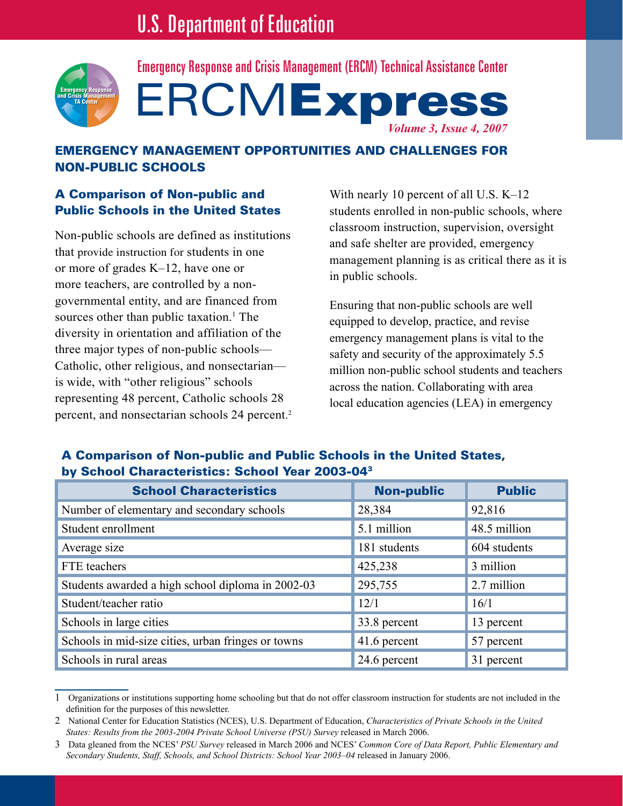# U.S. Department of Education



Emergency Response and Crisis Management (ERCM) Technical Assistance Center



# Emergency Management Opportunities and Challenges for Non-public Schools

## A Comparison of Non-public and Public Schools in the United States

Non-public schools are defined as institutions that provide instruction for students in one or more of grades K–12, have one or more teachers, are controlled by a nongovernmental entity, and are financed from sources other than public taxation.<sup>1</sup> The diversity in orientation and affiliation of the three major types of non-public schools— Catholic, other religious, and nonsectarian is wide, with "other religious" schools representing 48 percent, Catholic schools 28 percent, and nonsectarian schools 24 percent. 2

With nearly 10 percent of all U.S. K–12 students enrolled in non-public schools, where classroom instruction, supervision, oversight and safe shelter are provided, emergency management planning is as critical there as it is in public schools.

Ensuring that non-public schools are well equipped to develop, practice, and revise emergency management plans is vital to the safety and security of the approximately 5.5 million non-public school students and teachers across the nation. Collaborating with area local education agencies (LEA) in emergency

| <b>School Characteristics</b>                      | <b>Non-public</b> | <b>Public</b> |
|----------------------------------------------------|-------------------|---------------|
| Number of elementary and secondary schools         | 28,384            | 92,816        |
| Student enrollment                                 | 5.1 million       | 48.5 million  |
| Average size                                       | 181 students      | 604 students  |
| FTE teachers                                       | 425,238           | 3 million     |
| Students awarded a high school diploma in 2002-03  | 295,755           | 2.7 million   |
| Student/teacher ratio                              | 12/1              | 16/1          |
| Schools in large cities                            | 33.8 percent      | 13 percent    |
| Schools in mid-size cities, urban fringes or towns | 41.6 percent      | 57 percent    |
| Schools in rural areas                             | 24.6 percent      | 31 percent    |

# A Comparison of Non-public and Public Schools in the United States, by School Characteristics: School Year 2003-043

<sup>1</sup> Organizations or institutions supporting home schooling but that do not offer classroom instruction for students are not included in the definition for the purposes of this newsletter.

<sup>2</sup> National Center for Education Statistics (NCES), U.S. Department of Education, *Characteristics of Private Schools in the United States: Results from the 2003-2004 Private School Universe (PSU) Survey* released in March 2006.

<sup>3</sup> Data gleaned from the NCES' *PSU Survey* released in March 2006 and NCES' *Common Core of Data Report, Public Elementary and Secondary Students, Staff, Schools, and School Districts: School Year 2003–04* released in January 2006.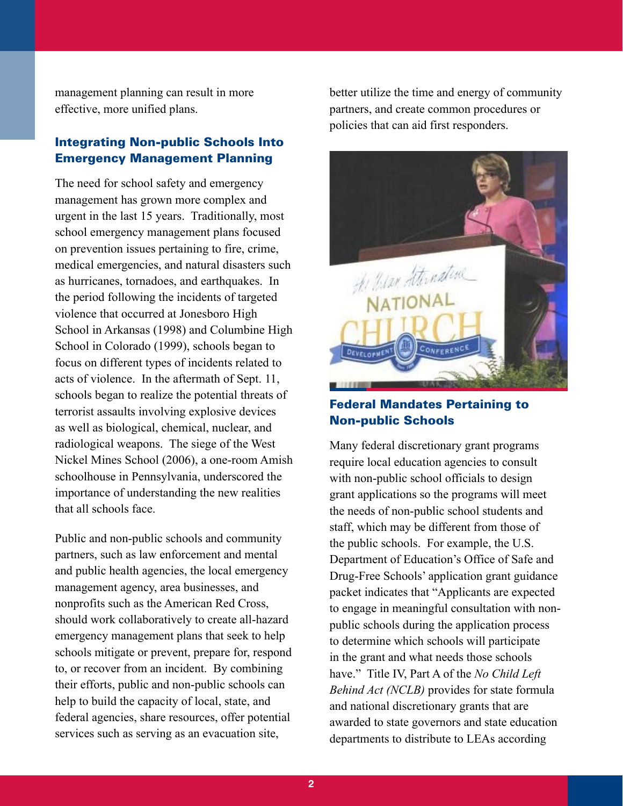management planning can result in more effective, more unified plans.

## Integrating Non-public Schools Into Emergency Management Planning

The need for school safety and emergency management has grown more complex and urgent in the last 15 years. Traditionally, most school emergency management plans focused on prevention issues pertaining to fire, crime, medical emergencies, and natural disasters such as hurricanes, tornadoes, and earthquakes. In the period following the incidents of targeted violence that occurred at Jonesboro High School in Arkansas (1998) and Columbine High School in Colorado (1999), schools began to focus on different types of incidents related to acts of violence. In the aftermath of Sept. 11, schools began to realize the potential threats of terrorist assaults involving explosive devices as well as biological, chemical, nuclear, and radiological weapons. The siege of the West Nickel Mines School (2006), a one-room Amish schoolhouse in Pennsylvania, underscored the importance of understanding the new realities that all schools face.

Public and non-public schools and community partners, such as law enforcement and mental and public health agencies, the local emergency management agency, area businesses, and nonprofits such as the American Red Cross, should work collaboratively to create all-hazard emergency management plans that seek to help schools mitigate or prevent, prepare for, respond to, or recover from an incident. By combining their efforts, public and non-public schools can help to build the capacity of local, state, and federal agencies, share resources, offer potential services such as serving as an evacuation site,

better utilize the time and energy of community partners, and create common procedures or policies that can aid first responders.



# Federal Mandates Pertaining to Non-public Schools

Many federal discretionary grant programs require local education agencies to consult with non-public school officials to design grant applications so the programs will meet the needs of non-public school students and staff, which may be different from those of the public schools. For example, the U.S. Department of Education's Office of Safe and Drug-Free Schools' application grant guidance packet indicates that "Applicants are expected to engage in meaningful consultation with nonpublic schools during the application process to determine which schools will participate in the grant and what needs those schools have." Title IV, Part A of the *No Child Left Behind Act (NCLB)* provides for state formula and national discretionary grants that are awarded to state governors and state education departments to distribute to LEAs according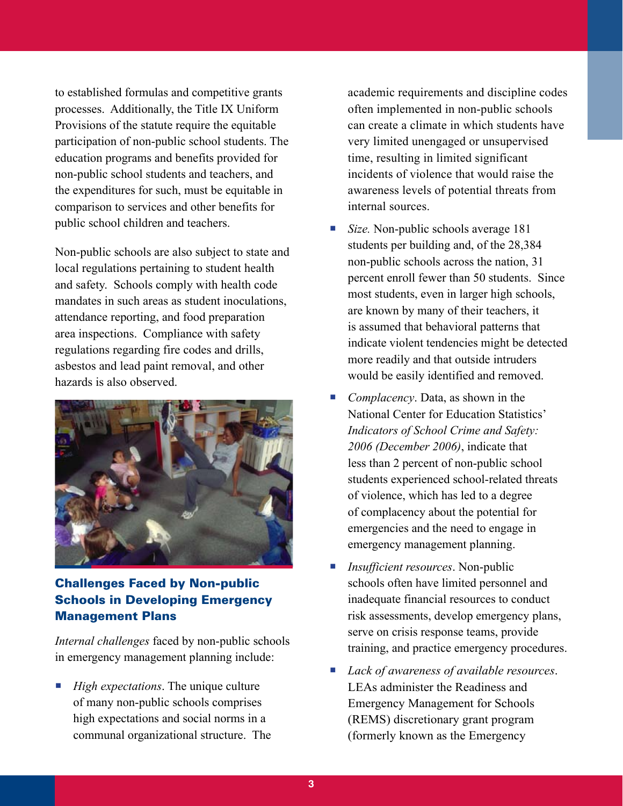to established formulas and competitive grants processes. Additionally, the Title IX Uniform Provisions of the statute require the equitable participation of non-public school students. The education programs and benefits provided for non-public school students and teachers, and the expenditures for such, must be equitable in comparison to services and other benefits for public school children and teachers.

Non-public schools are also subject to state and local regulations pertaining to student health and safety. Schools comply with health code mandates in such areas as student inoculations, attendance reporting, and food preparation area inspections. Compliance with safety regulations regarding fire codes and drills, asbestos and lead paint removal, and other hazards is also observed.



# Challenges Faced by Non-public Schools in Developing Emergency Management Plans

*Internal challenges* faced by non-public schools in emergency management planning include:

■ *High expectations*. The unique culture of many non-public schools comprises high expectations and social norms in a communal organizational structure. The

academic requirements and discipline codes often implemented in non-public schools can create a climate in which students have very limited unengaged or unsupervised time, resulting in limited significant incidents of violence that would raise the awareness levels of potential threats from internal sources.

- *Size*. Non-public schools average 181 students per building and, of the 28,384 non-public schools across the nation, 31 percent enroll fewer than 50 students. Since most students, even in larger high schools, are known by many of their teachers, it is assumed that behavioral patterns that indicate violent tendencies might be detected more readily and that outside intruders would be easily identified and removed.
- *Complacency*. Data, as shown in the National Center for Education Statistics' *Indicators of School Crime and Safety: 2006 (December 2006)*, indicate that less than 2 percent of non-public school students experienced school-related threats of violence, which has led to a degree of complacency about the potential for emergencies and the need to engage in emergency management planning.
- *Insufficient resources*. Non-public schools often have limited personnel and inadequate financial resources to conduct risk assessments, develop emergency plans, serve on crisis response teams, provide training, and practice emergency procedures.
- *Lack of awareness of available resources*. LEAs administer the Readiness and Emergency Management for Schools (REMS) discretionary grant program (formerly known as the Emergency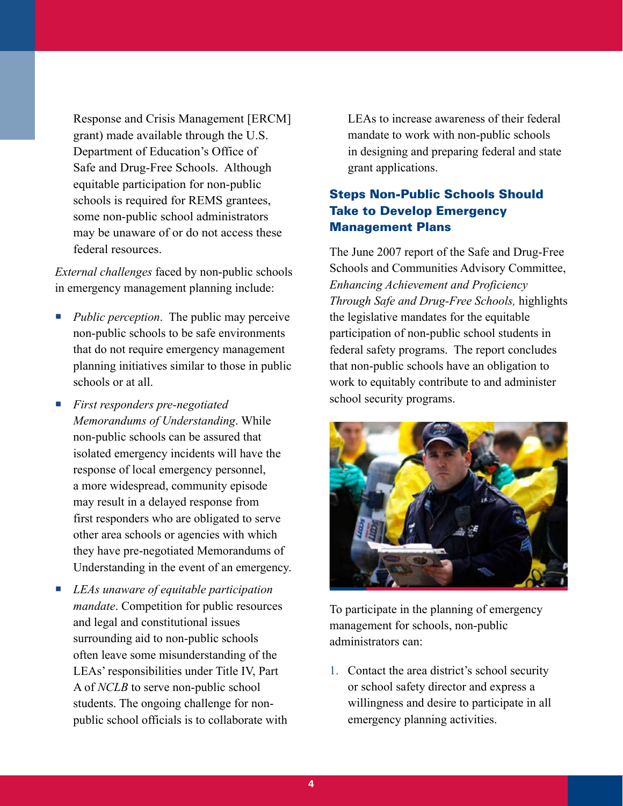Response and Crisis Management [ERCM] grant) made available through the U.S. Department of Education's Office of Safe and Drug-Free Schools. Although equitable participation for non-public schools is required for REMS grantees, some non-public school administrators may be unaware of or do not access these federal resources.

*External challenges* faced by non-public schools in emergency management planning include:

- *Public perception*. The public may perceive non-public schools to be safe environments that do not require emergency management planning initiatives similar to those in public schools or at all.
- *First responders pre-negotiated Memorandums of Understanding*. While non-public schools can be assured that isolated emergency incidents will have the response of local emergency personnel, a more widespread, community episode may result in a delayed response from first responders who are obligated to serve other area schools or agencies with which they have pre-negotiated Memorandums of Understanding in the event of an emergency.
- *LEAs unaware of equitable participation mandate*. Competition for public resources and legal and constitutional issues surrounding aid to non-public schools often leave some misunderstanding of the LEAs' responsibilities under Title IV, Part A of *NCLB* to serve non-public school students. The ongoing challenge for nonpublic school officials is to collaborate with

LEAs to increase awareness of their federal mandate to work with non-public schools in designing and preparing federal and state grant applications.

## Steps Non-Public Schools Should Take to Develop Emergency Management Plans

The June 2007 report of the Safe and Drug-Free Schools and Communities Advisory Committee, *Enhancing Achievement and Proficiency Through Safe and Drug-Free Schools,* highlights the legislative mandates for the equitable participation of non-public school students in federal safety programs. The report concludes that non-public schools have an obligation to work to equitably contribute to and administer school security programs.



To participate in the planning of emergency management for schools, non-public administrators can:

1. Contact the area district's school security or school safety director and express a willingness and desire to participate in all emergency planning activities.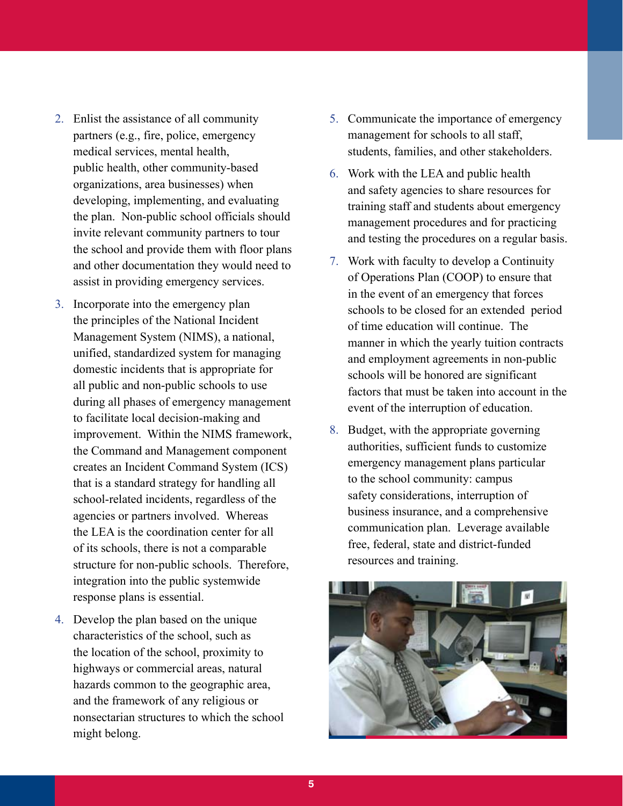- 2. Enlist the assistance of all community partners (e.g., fire, police, emergency medical services, mental health, public health, other community-based organizations, area businesses) when developing, implementing, and evaluating the plan. Non-public school officials should invite relevant community partners to tour the school and provide them with floor plans and other documentation they would need to assist in providing emergency services.
- 3. Incorporate into the emergency plan the principles of the National Incident Management System (NIMS), a national, unified, standardized system for managing domestic incidents that is appropriate for all public and non-public schools to use during all phases of emergency management to facilitate local decision-making and improvement. Within the NIMS framework, the Command and Management component creates an Incident Command System (ICS) that is a standard strategy for handling all school-related incidents, regardless of the agencies or partners involved. Whereas the LEA is the coordination center for all of its schools, there is not a comparable structure for non-public schools. Therefore, integration into the public systemwide response plans is essential.
- 4. Develop the plan based on the unique characteristics of the school, such as the location of the school, proximity to highways or commercial areas, natural hazards common to the geographic area, and the framework of any religious or nonsectarian structures to which the school might belong.
- 5. Communicate the importance of emergency management for schools to all staff, students, families, and other stakeholders.
- 6. Work with the LEA and public health and safety agencies to share resources for training staff and students about emergency management procedures and for practicing and testing the procedures on a regular basis.
- 7. Work with faculty to develop a Continuity of Operations Plan (COOP) to ensure that in the event of an emergency that forces schools to be closed for an extended period of time education will continue. The manner in which the yearly tuition contracts and employment agreements in non-public schools will be honored are significant factors that must be taken into account in the event of the interruption of education.
- 8. Budget, with the appropriate governing authorities, sufficient funds to customize emergency management plans particular to the school community: campus safety considerations, interruption of business insurance, and a comprehensive communication plan. Leverage available free, federal, state and district-funded resources and training.

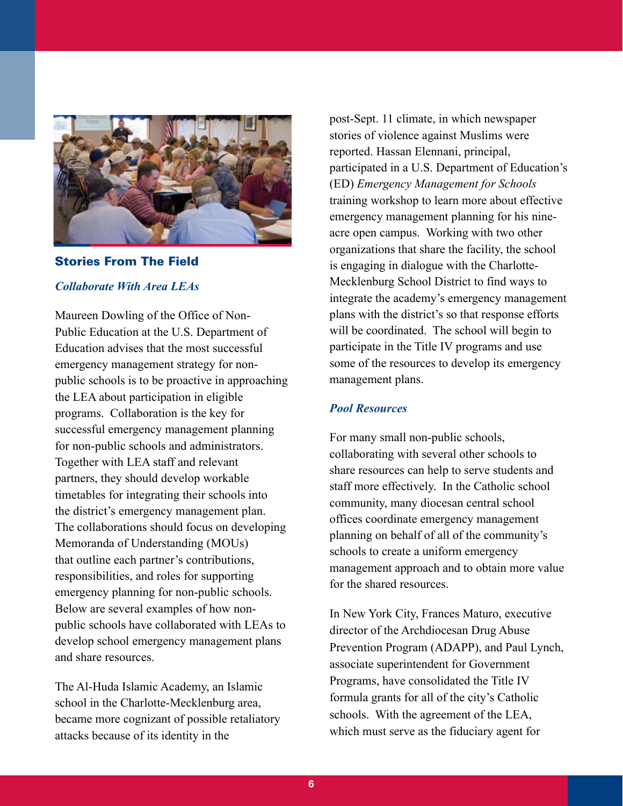

#### Stories From The Field

#### *Collaborate With Area LEAs*

Maureen Dowling of the Office of Non-Public Education at the U.S. Department of Education advises that the most successful emergency management strategy for nonpublic schools is to be proactive in approaching the LEA about participation in eligible programs. Collaboration is the key for successful emergency management planning for non-public schools and administrators. Together with LEA staff and relevant partners, they should develop workable timetables for integrating their schools into the district's emergency management plan. The collaborations should focus on developing Memoranda of Understanding (MOUs) that outline each partner's contributions, responsibilities, and roles for supporting emergency planning for non-public schools. Below are several examples of how nonpublic schools have collaborated with LEAs to develop school emergency management plans and share resources.

The Al-Huda Islamic Academy, an Islamic school in the Charlotte-Mecklenburg area, became more cognizant of possible retaliatory attacks because of its identity in the

post-Sept. 11 climate, in which newspaper stories of violence against Muslims were reported. Hassan Elennani, principal, participated in a U.S. Department of Education's (ED) *Emergency Management for Schools*  training workshop to learn more about effective emergency management planning for his nineacre open campus. Working with two other organizations that share the facility, the school is engaging in dialogue with the Charlotte-Mecklenburg School District to find ways to integrate the academy's emergency management plans with the district's so that response efforts will be coordinated. The school will begin to participate in the Title IV programs and use some of the resources to develop its emergency management plans.

#### *Pool Resources*

For many small non-public schools, collaborating with several other schools to share resources can help to serve students and staff more effectively. In the Catholic school community, many diocesan central school offices coordinate emergency management planning on behalf of all of the community's schools to create a uniform emergency management approach and to obtain more value for the shared resources.

In New York City, Frances Maturo, executive director of the Archdiocesan Drug Abuse Prevention Program (ADAPP), and Paul Lynch, associate superintendent for Government Programs, have consolidated the Title IV formula grants for all of the city's Catholic schools. With the agreement of the LEA, which must serve as the fiduciary agent for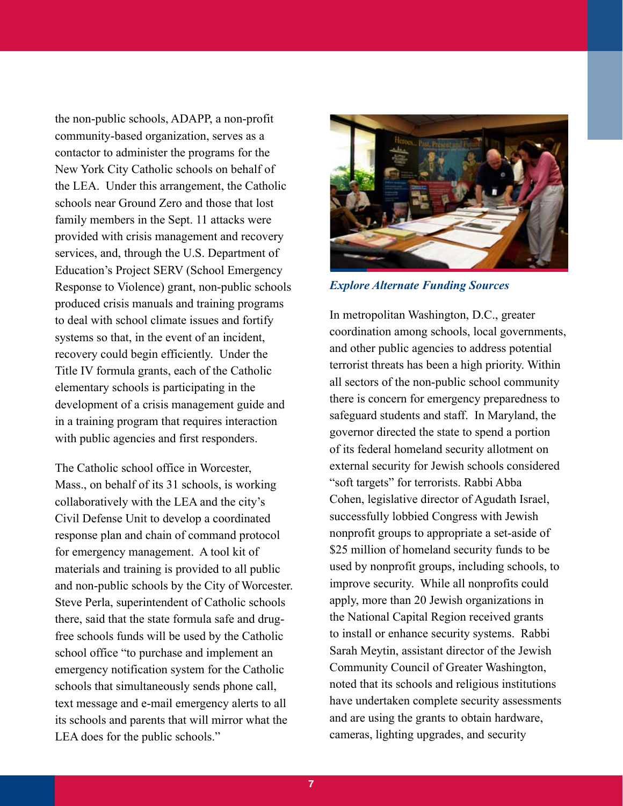the non-public schools, ADAPP, a non-profit community-based organization, serves as a contactor to administer the programs for the New York City Catholic schools on behalf of the LEA. Under this arrangement, the Catholic schools near Ground Zero and those that lost family members in the Sept. 11 attacks were provided with crisis management and recovery services, and, through the U.S. Department of Education's Project SERV (School Emergency Response to Violence) grant, non-public schools produced crisis manuals and training programs to deal with school climate issues and fortify systems so that, in the event of an incident, recovery could begin efficiently. Under the Title IV formula grants, each of the Catholic elementary schools is participating in the development of a crisis management guide and in a training program that requires interaction with public agencies and first responders.

The Catholic school office in Worcester, Mass., on behalf of its 31 schools, is working collaboratively with the LEA and the city's Civil Defense Unit to develop a coordinated response plan and chain of command protocol for emergency management. A tool kit of materials and training is provided to all public and non-public schools by the City of Worcester. Steve Perla, superintendent of Catholic schools there, said that the state formula safe and drugfree schools funds will be used by the Catholic school office "to purchase and implement an emergency notification system for the Catholic schools that simultaneously sends phone call, text message and e-mail emergency alerts to all its schools and parents that will mirror what the LEA does for the public schools."



*Explore Alternate Funding Sources* 

In metropolitan Washington, D.C., greater coordination among schools, local governments, and other public agencies to address potential terrorist threats has been a high priority. Within all sectors of the non-public school community there is concern for emergency preparedness to safeguard students and staff. In Maryland, the governor directed the state to spend a portion of its federal homeland security allotment on external security for Jewish schools considered "soft targets" for terrorists. Rabbi Abba Cohen, legislative director of Agudath Israel, successfully lobbied Congress with Jewish nonprofit groups to appropriate a set-aside of \$25 million of homeland security funds to be used by nonprofit groups, including schools, to improve security. While all nonprofits could apply, more than 20 Jewish organizations in the National Capital Region received grants to install or enhance security systems. Rabbi Sarah Meytin, assistant director of the Jewish Community Council of Greater Washington, noted that its schools and religious institutions have undertaken complete security assessments and are using the grants to obtain hardware, cameras, lighting upgrades, and security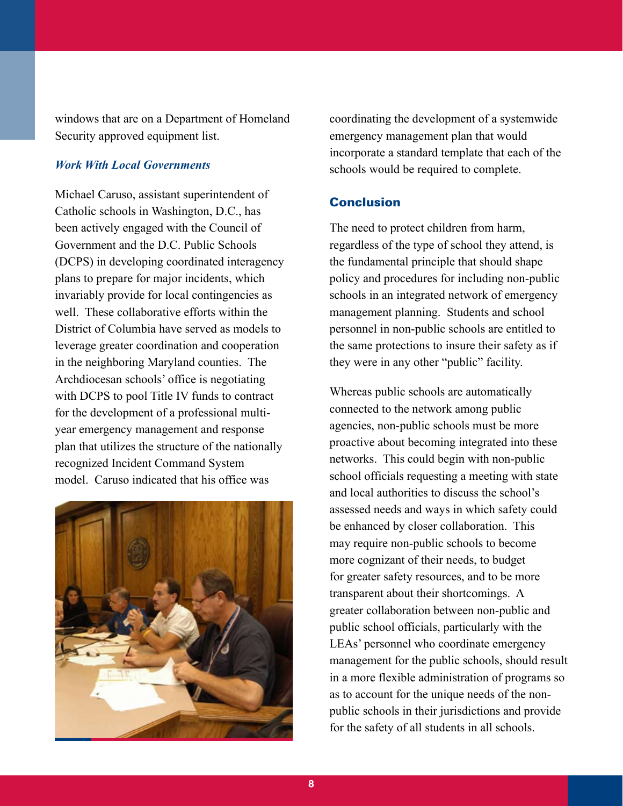windows that are on a Department of Homeland Security approved equipment list.

#### *Work With Local Governments*

Michael Caruso, assistant superintendent of Catholic schools in Washington, D.C., has been actively engaged with the Council of Government and the D.C. Public Schools (DCPS) in developing coordinated interagency plans to prepare for major incidents, which invariably provide for local contingencies as well. These collaborative efforts within the District of Columbia have served as models to leverage greater coordination and cooperation in the neighboring Maryland counties. The Archdiocesan schools' office is negotiating with DCPS to pool Title IV funds to contract for the development of a professional multiyear emergency management and response plan that utilizes the structure of the nationally recognized Incident Command System model. Caruso indicated that his office was



coordinating the development of a systemwide emergency management plan that would incorporate a standard template that each of the schools would be required to complete.

#### **Conclusion**

The need to protect children from harm, regardless of the type of school they attend, is the fundamental principle that should shape policy and procedures for including non-public schools in an integrated network of emergency management planning. Students and school personnel in non-public schools are entitled to the same protections to insure their safety as if they were in any other "public" facility.

Whereas public schools are automatically connected to the network among public agencies, non-public schools must be more proactive about becoming integrated into these networks. This could begin with non-public school officials requesting a meeting with state and local authorities to discuss the school's assessed needs and ways in which safety could be enhanced by closer collaboration. This may require non-public schools to become more cognizant of their needs, to budget for greater safety resources, and to be more transparent about their shortcomings. A greater collaboration between non-public and public school officials, particularly with the LEAs' personnel who coordinate emergency management for the public schools, should result in a more flexible administration of programs so as to account for the unique needs of the nonpublic schools in their jurisdictions and provide for the safety of all students in all schools.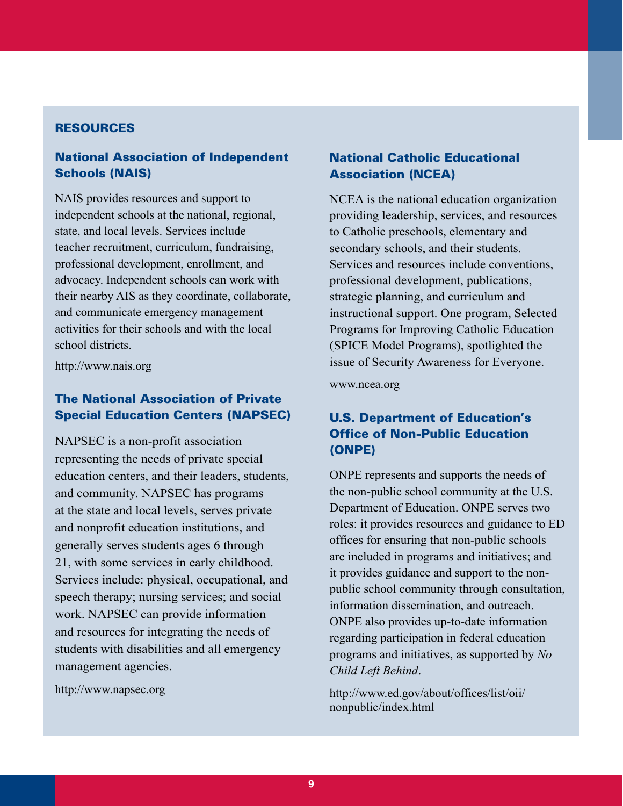#### **RESOURCES**

## National Association of Independent Schools (NAIS)

NAIS provides resources and support to independent schools at the national, regional, state, and local levels. Services include teacher recruitment, curriculum, fundraising, professional development, enrollment, and advocacy. Independent schools can work with their nearby AIS as they coordinate, collaborate, and communicate emergency management activities for their schools and with the local school districts.

http://www.nais.org

# The National Association of Private Special Education Centers (NAPSEC)

NAPSEC is a non-profit association representing the needs of private special education centers, and their leaders, students, and community. NAPSEC has programs at the state and local levels, serves private and nonprofit education institutions, and generally serves students ages 6 through 21, with some services in early childhood. Services include: physical, occupational, and speech therapy; nursing services; and social work. NAPSEC can provide information and resources for integrating the needs of students with disabilities and all emergency management agencies.

http://www.napsec.org

# National Catholic Educational Association (NCEA)

NCEA is the national education organization providing leadership, services, and resources to Catholic preschools, elementary and secondary schools, and their students. Services and resources include conventions, professional development, publications, strategic planning, and curriculum and instructional support. One program, Selected Programs for Improving Catholic Education (SPICE Model Programs), spotlighted the issue of Security Awareness for Everyone.

www.ncea.org

## U.S. Department of Education's Office of Non-Public Education (ONPE)

ONPE represents and supports the needs of the non-public school community at the U.S. Department of Education. ONPE serves two roles: it provides resources and guidance to ED offices for ensuring that non-public schools are included in programs and initiatives; and it provides guidance and support to the nonpublic school community through consultation, information dissemination, and outreach. ONPE also provides up-to-date information regarding participation in federal education programs and initiatives, as supported by *No Child Left Behind*.

http://www.ed.gov/about/offices/list/oii/ nonpublic/index.html